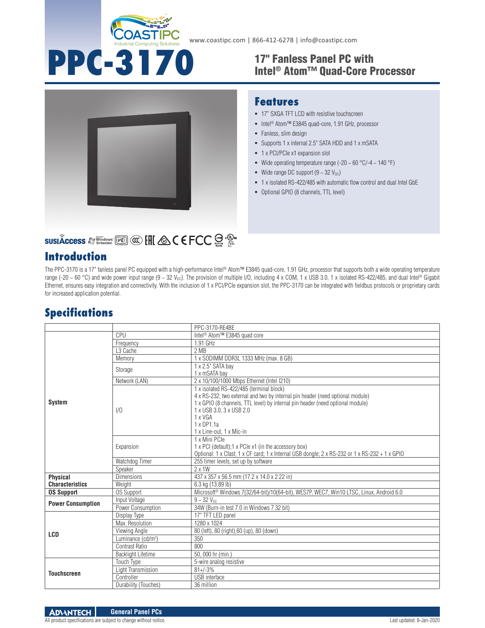

**PPC-3170**

**Features**

• Fanless, slim design

**1** x PCI/PCIe x1 expansion slot

Wide range DC support  $(9 \sim 32 \text{ V}_{\text{DC}})$ 

Optional GPIO (8 channels, TTL level)

**- 17" SXGA TFT LCD with resistive touchscreen** ■ Intel<sup>®</sup> Atom™ E3845 quad-core, 1.91 GHz, processor

Supports 1 x internal 2.5" SATA HDD and 1 x mSATA

Wide operating temperature range (-20  $\sim$  60 °C/-4  $\sim$  140 °F)

1 x isolated RS-422/485 with automatic flow control and dual Intel GbE

#### 17" Fanless Panel PC with Intel® Atom™ Quad-Core Processor



# **SUSIÂCCESS A Windows [Kell] @ [HI & C E FCC SE : 2019**

## **Introduction**

The PPC-3170 is a 17" fanless panel PC equipped with a high-performance Intel® Atom™ E3845 quad-core, 1.91 GHz, processor that supports both a wide operating temperature range (-20 ~ 60 °C) and wide power input range (9 ~ 32 V<sub>DC</sub>). The provision of multiple I/O, including 4 x COM, 1 x USB 3.0, 1 x isolated RS-422/485, and dual Intel® Gigabit Ethernet, ensures easy integration and connectivity. With the inclusion of 1 x PCI/PCIe expansion slot, the PPC-3170 can be integrated with fieldbus protocols or proprietary cards for increased application potential.

## **Specifications**

|                          |                                | PPC-3170-RE4BE                                                                                                                                                                                                                           |
|--------------------------|--------------------------------|------------------------------------------------------------------------------------------------------------------------------------------------------------------------------------------------------------------------------------------|
| <b>System</b>            | CPU                            | Intel <sup>®</sup> Atom <sup>™</sup> E3845 quad core                                                                                                                                                                                     |
|                          | Frequency                      | 1.91 GHz                                                                                                                                                                                                                                 |
|                          | L3 Cache                       | 2 MB                                                                                                                                                                                                                                     |
|                          | Memory                         | 1 x SODIMM DDR3L 1333 MHz (max. 8 GB)                                                                                                                                                                                                    |
|                          | Storage                        | 1 x 2.5" SATA bay                                                                                                                                                                                                                        |
|                          |                                | 1 x mSATA bay                                                                                                                                                                                                                            |
|                          | Network (LAN)                  | 2 x 10/100/1000 Mbps Ethernet (Intel I210)                                                                                                                                                                                               |
|                          | 1/0                            | 1 x isolated RS-422/485 (terminal block)<br>4 x RS-232, two external and two by internal pin header (need optional module)<br>1 x GPIO (8 channels, TTL level) by internal pin header (need optional module)<br>1 x USB 3.0, 3 x USB 2.0 |
|                          |                                | 1 x VGA                                                                                                                                                                                                                                  |
|                          |                                | $1 \times DP1.1a$                                                                                                                                                                                                                        |
|                          |                                | 1 x Line-out, 1 x Mic-in                                                                                                                                                                                                                 |
|                          | Expansion                      | 1 x Mini PCle<br>1 x PCI (default); 1 x PCIe x1 (in the accessory box)<br>Optional: 1 x Cfast; 1 x CF card; 1 x Internal USB dongle; 2 x RS-232 or 1 x RS-232 + 1 x GPIO                                                                 |
|                          | Watchdog Timer                 | 255 timer levels, set up by software                                                                                                                                                                                                     |
|                          | Speaker                        | $2 \times 1W$                                                                                                                                                                                                                            |
| <b>Physical</b>          | <b>Dimensions</b>              | 437 x 357 x 56.5 mm (17.2 x 14.0 x 2.22 in)                                                                                                                                                                                              |
| <b>Characteristics</b>   | Weight                         | 6.3 kg (13.89 lb)                                                                                                                                                                                                                        |
| <b>OS Support</b>        | <b>OS Support</b>              | Microsoft <sup>®</sup> Windows 7(32/64-bit)/10(64-bit), WES7P, WEC7, Win10 LTSC, Linux, Android 6.0                                                                                                                                      |
| <b>Power Consumption</b> | Input Voltage                  | $9 - 32 V_{DC}$                                                                                                                                                                                                                          |
|                          | Power Consumption              | 34W (Burn-in test 7.0 in Windows 7 32 bit)                                                                                                                                                                                               |
| <b>LCD</b>               | Display Type                   | 17" TFT LED panel                                                                                                                                                                                                                        |
|                          | Max. Resolution                | 1280 x 1024                                                                                                                                                                                                                              |
|                          | Viewing Angle                  | 80 (left), 80 (right), 60 (up), 80 (down)                                                                                                                                                                                                |
|                          | Luminance (cd/m <sup>2</sup> ) | 350                                                                                                                                                                                                                                      |
|                          | Contrast Ratio                 | 800                                                                                                                                                                                                                                      |
|                          | <b>Backlight Lifetime</b>      | 50, 000 hr (min.)                                                                                                                                                                                                                        |
| <b>Touchscreen</b>       | Touch Type                     | 5-wire analog resistive                                                                                                                                                                                                                  |
|                          | Light Transmission             | $81 + (-3%)$                                                                                                                                                                                                                             |
|                          | Controller                     | USB interface                                                                                                                                                                                                                            |
|                          | Durability (Touches)           | 36 million                                                                                                                                                                                                                               |